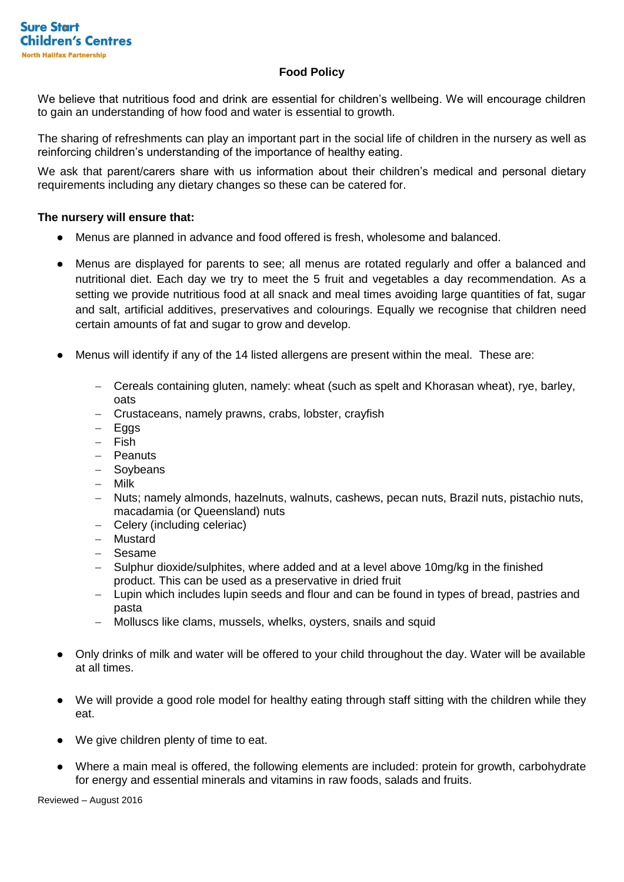# **Food Policy**

We believe that nutritious food and drink are essential for children's wellbeing. We will encourage children to gain an understanding of how food and water is essential to growth.

The sharing of refreshments can play an important part in the social life of children in the nursery as well as reinforcing children's understanding of the importance of healthy eating.

We ask that parent/carers share with us information about their children's medical and personal dietary requirements including any dietary changes so these can be catered for.

### **The nursery will ensure that:**

- Menus are planned in advance and food offered is fresh, wholesome and balanced.
- Menus are displayed for parents to see; all menus are rotated regularly and offer a balanced and nutritional diet. Each day we try to meet the 5 fruit and vegetables a day recommendation. As a setting we provide nutritious food at all snack and meal times avoiding large quantities of fat, sugar and salt, artificial additives, preservatives and colourings. Equally we recognise that children need certain amounts of fat and sugar to grow and develop.
- Menus will identify if any of the 14 listed allergens are present within the meal. These are:
	- Cereals containing gluten, namely: wheat (such as spelt and Khorasan wheat), rye, barley, oats
	- Crustaceans, namely prawns, crabs, lobster, crayfish
	- $-$  Eggs
	- $-$  Fish
	- Peanuts
	- Soybeans
	- Milk
	- Nuts; namely almonds, hazelnuts, walnuts, cashews, pecan nuts, Brazil nuts, pistachio nuts, macadamia (or Queensland) nuts
	- Celery (including celeriac)
	- Mustard
	- Sesame
	- Sulphur dioxide/sulphites, where added and at a level above 10mg/kg in the finished product. This can be used as a preservative in dried fruit
	- Lupin which includes lupin seeds and flour and can be found in types of bread, pastries and pasta
	- Molluscs like clams, mussels, whelks, oysters, snails and squid
- Only drinks of milk and water will be offered to your child throughout the day. Water will be available at all times.
- We will provide a good role model for healthy eating through staff sitting with the children while they eat.
- We give children plenty of time to eat.
- Where a main meal is offered, the following elements are included: protein for growth, carbohydrate for energy and essential minerals and vitamins in raw foods, salads and fruits.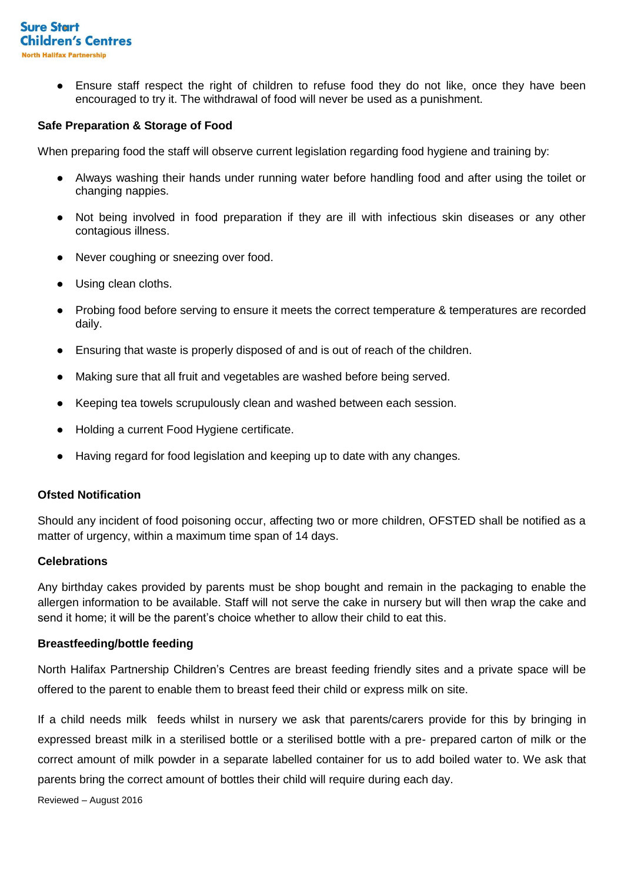

Ensure staff respect the right of children to refuse food they do not like, once they have been encouraged to try it. The withdrawal of food will never be used as a punishment.

### **Safe Preparation & Storage of Food**

When preparing food the staff will observe current legislation regarding food hygiene and training by:

- Always washing their hands under running water before handling food and after using the toilet or changing nappies.
- Not being involved in food preparation if they are ill with infectious skin diseases or any other contagious illness.
- Never coughing or sneezing over food.
- Using clean cloths.
- Probing food before serving to ensure it meets the correct temperature & temperatures are recorded daily.
- Ensuring that waste is properly disposed of and is out of reach of the children.
- Making sure that all fruit and vegetables are washed before being served.
- Keeping tea towels scrupulously clean and washed between each session.
- Holding a current Food Hygiene certificate.
- Having regard for food legislation and keeping up to date with any changes.

#### **Ofsted Notification**

Should any incident of food poisoning occur, affecting two or more children, OFSTED shall be notified as a matter of urgency, within a maximum time span of 14 days.

#### **Celebrations**

Any birthday cakes provided by parents must be shop bought and remain in the packaging to enable the allergen information to be available. Staff will not serve the cake in nursery but will then wrap the cake and send it home; it will be the parent's choice whether to allow their child to eat this.

#### **Breastfeeding/bottle feeding**

North Halifax Partnership Children's Centres are breast feeding friendly sites and a private space will be offered to the parent to enable them to breast feed their child or express milk on site.

If a child needs milk feeds whilst in nursery we ask that parents/carers provide for this by bringing in expressed breast milk in a sterilised bottle or a sterilised bottle with a pre- prepared carton of milk or the correct amount of milk powder in a separate labelled container for us to add boiled water to. We ask that parents bring the correct amount of bottles their child will require during each day.

Reviewed – August 2016